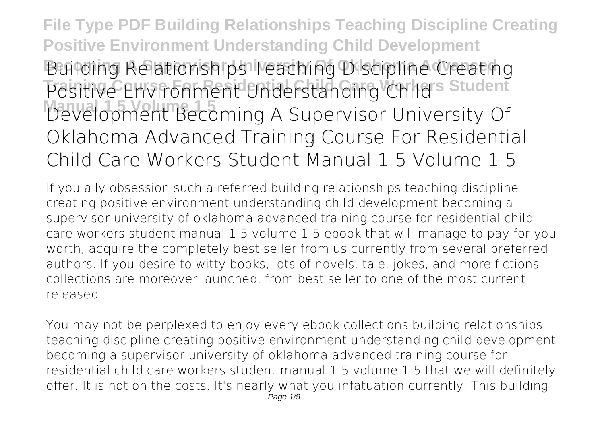**File Type PDF Building Relationships Teaching Discipline Creating Positive Environment Understanding Child Development Building Relationships Teaching Discipline Creating** Positive Environment Understanding Childs Student **Mayelopment Becoming A Supervisor University Of Oklahoma Advanced Training Course For Residential Child Care Workers Student Manual 1 5 Volume 1 5**

If you ally obsession such a referred **building relationships teaching discipline creating positive environment understanding child development becoming a supervisor university of oklahoma advanced training course for residential child care workers student manual 1 5 volume 1 5** ebook that will manage to pay for you worth, acquire the completely best seller from us currently from several preferred authors. If you desire to witty books, lots of novels, tale, jokes, and more fictions collections are moreover launched, from best seller to one of the most current released.

You may not be perplexed to enjoy every ebook collections building relationships teaching discipline creating positive environment understanding child development becoming a supervisor university of oklahoma advanced training course for residential child care workers student manual 1 5 volume 1 5 that we will definitely offer. It is not on the costs. It's nearly what you infatuation currently. This building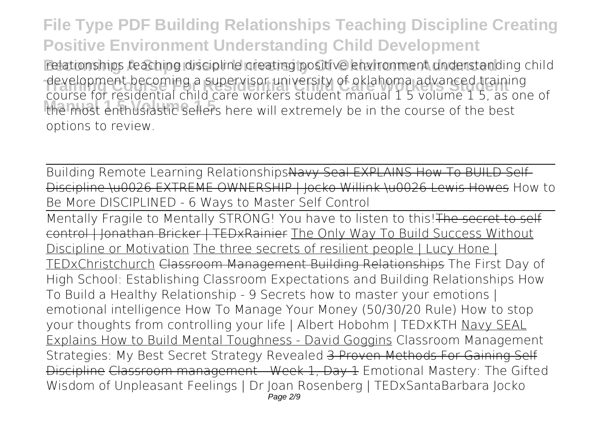**File Type PDF Building Relationships Teaching Discipline Creating Positive Environment Understanding Child Development** relationships teaching discipline creating positive environment understanding child development becoming a supervisor university of oklanoma advanced training<br>course for residential child care workers student manual 1 5 volume 1 5, as one of **Manual 1 5 Volume 1 5** the most enthusiastic sellers here will extremely be in the course of the best development becoming a supervisor university of oklahoma advanced training options to review.

Building Remote Learning RelationshipsNavy Seal EXPLAINS How To BUILD Self-Discipline \u0026 EXTREME OWNERSHIP | Jocko Willink \u0026 Lewis Howes How to Be More DISCIPLINED - 6 Ways to Master Self Control

Mentally Fragile to Mentally STRONG! You have to listen to this! The secret to self control | Jonathan Bricker | TEDxRainier The Only Way To Build Success Without Discipline or Motivation The three secrets of resilient people | Lucy Hone | TEDxChristchurch Classroom Management Building Relationships The First Day of High School: Establishing Classroom Expectations and Building Relationships *How To Build a Healthy Relationship - 9 Secrets* how to master your emotions | emotional intelligence **How To Manage Your Money (50/30/20 Rule)** *How to stop your thoughts from controlling your life | Albert Hobohm | TEDxKTH* Navy SEAL Explains How to Build Mental Toughness - David Goggins *Classroom Management Strategies: My Best Secret Strategy Revealed* 3 Proven Methods For Gaining Self Discipline Classroom management - Week 1, Day 1 *Emotional Mastery: The Gifted Wisdom of Unpleasant Feelings | Dr Joan Rosenberg | TEDxSantaBarbara Jocko* Page 2/9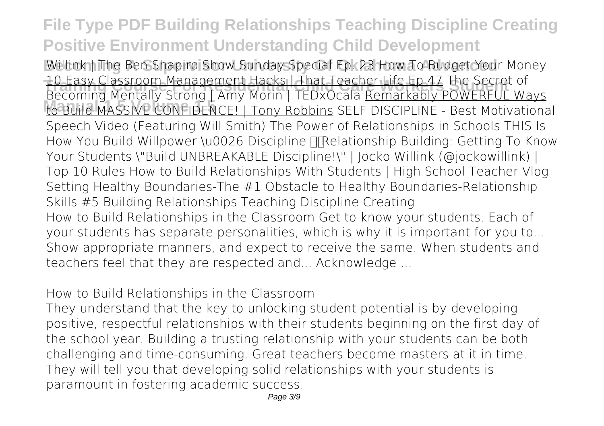## **File Type PDF Building Relationships Teaching Discipline Creating Positive Environment Understanding Child Development**

**Willink | The Ben Shapiro Show Sunday Special Ep. 23 How To Budget Your Money TO Easy Classroom Management Hacks | That Teacher Life Ep 47 The Secret of**<br>Reseming Montally Strong LAmy Morin | TEDYOSALA Bemarkahly POWERELL W **Manual 1 5 Volume 1 5** to Build MASSIVE CONFIDENCE! | Tony Robbins SELF DISCIPLINE - Best Motivational *Becoming Mentally Strong | Amy Morin | TEDxOcala* Remarkably POWERFUL Ways Speech Video (Featuring Will Smith) **The Power of Relationships in Schools THIS Is** How You Build Willpower \u0026 Discipline **To Relationship Building: Getting To Know Your Students \"Build UNBREAKABLE Discipline!\" | Jocko Willink (@jockowillink) | Top 10 Rules How to Build Relationships With Students | High School Teacher Vlog Setting Healthy Boundaries-The #1 Obstacle to Healthy Boundaries-Relationship Skills #5** *Building Relationships Teaching Discipline Creating* How to Build Relationships in the Classroom Get to know your students. Each of your students has separate personalities, which is why it is important for you to... Show appropriate manners, and expect to receive the same. When students and teachers feel that they are respected and... Acknowledge ...

*How to Build Relationships in the Classroom*

They understand that the key to unlocking student potential is by developing positive, respectful relationships with their students beginning on the first day of the school year. Building a trusting relationship with your students can be both challenging and time-consuming. Great teachers become masters at it in time. They will tell you that developing solid relationships with your students is paramount in fostering academic success.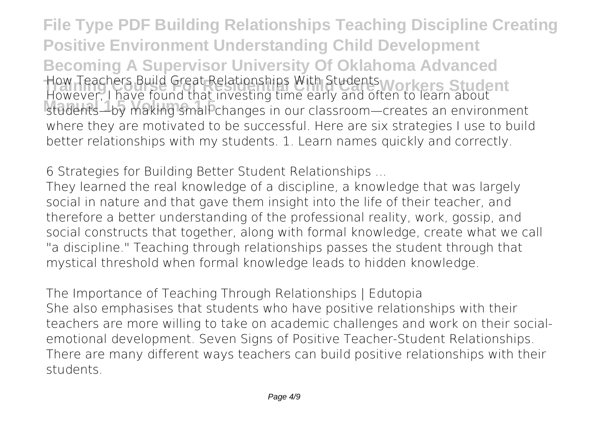**File Type PDF Building Relationships Teaching Discipline Creating Positive Environment Understanding Child Development Becoming A Supervisor University Of Oklahoma Advanced How Teachers Build Great Relationships With Students Workers Student**<br>However, I have found that investing time early and e**thers in Student Manual 1 5 Volume 1 5** students—by making small changes in our classroom—creates an environment However, I have found that investing time early and often to learn about where they are motivated to be successful. Here are six strategies I use to build better relationships with my students. 1. Learn names quickly and correctly.

*6 Strategies for Building Better Student Relationships ...*

They learned the real knowledge of a discipline, a knowledge that was largely social in nature and that gave them insight into the life of their teacher, and therefore a better understanding of the professional reality, work, gossip, and social constructs that together, along with formal knowledge, create what we call "a discipline." Teaching through relationships passes the student through that mystical threshold when formal knowledge leads to hidden knowledge.

*The Importance of Teaching Through Relationships | Edutopia* She also emphasises that students who have positive relationships with their teachers are more willing to take on academic challenges and work on their socialemotional development. Seven Signs of Positive Teacher-Student Relationships. There are many different ways teachers can build positive relationships with their students.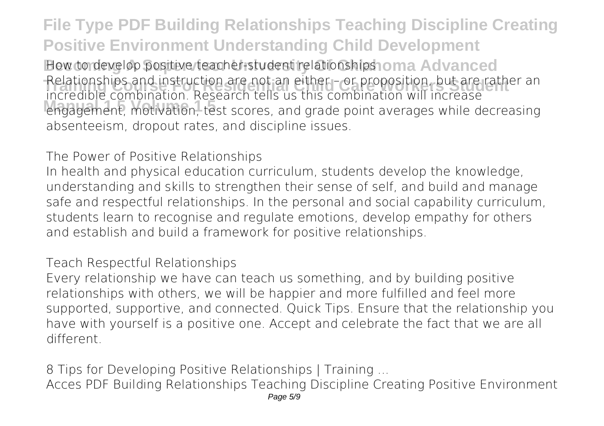**File Type PDF Building Relationships Teaching Discipline Creating Positive Environment Understanding Child Development How to develop positive teacher-student relationships oma Advanced** Relationships and instruction are not an either – or proposition, but are rather an<br>incredible combination, Becaarch tells us this combination will increase **Manual 1 5 Volume 1 5** engagement, motivation, test scores, and grade point averages while decreasing incredible combination. Research tells us this combination will increase absenteeism, dropout rates, and discipline issues.

*The Power of Positive Relationships*

In health and physical education curriculum, students develop the knowledge, understanding and skills to strengthen their sense of self, and build and manage safe and respectful relationships. In the personal and social capability curriculum, students learn to recognise and regulate emotions, develop empathy for others and establish and build a framework for positive relationships.

*Teach Respectful Relationships*

Every relationship we have can teach us something, and by building positive relationships with others, we will be happier and more fulfilled and feel more supported, supportive, and connected. Quick Tips. Ensure that the relationship you have with yourself is a positive one. Accept and celebrate the fact that we are all different.

*8 Tips for Developing Positive Relationships | Training ...* Acces PDF Building Relationships Teaching Discipline Creating Positive Environment Page 5/9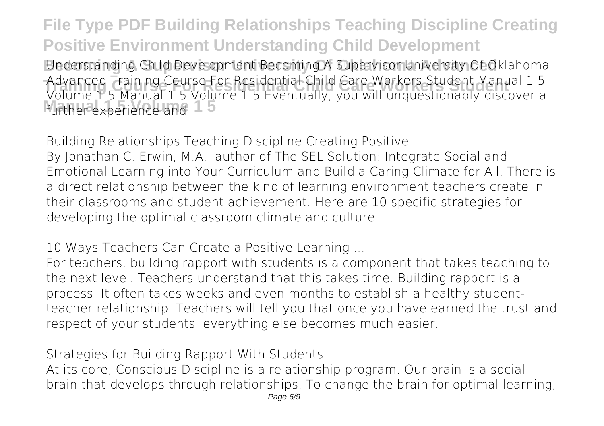**File Type PDF Building Relationships Teaching Discipline Creating Positive Environment Understanding Child Development Becoming A Supervisor University Of Oklahoma Advanced** Understanding Child Development Becoming A Supervisor University Of Oklahoma **Training Course For Residential Child Care Workers Student** Advanced Training Course For Residential Child Care Workers Student Manual 1 5 further experience and 15 Volume 1 5 Manual 1 5 Volume 1 5 Eventually, you will unquestionably discover a

*Building Relationships Teaching Discipline Creating Positive* By Jonathan C. Erwin, M.A., author of The SEL Solution: Integrate Social and Emotional Learning into Your Curriculum and Build a Caring Climate for All. There is a direct relationship between the kind of learning environment teachers create in their classrooms and student achievement. Here are 10 specific strategies for developing the optimal classroom climate and culture.

*10 Ways Teachers Can Create a Positive Learning ...*

For teachers, building rapport with students is a component that takes teaching to the next level. Teachers understand that this takes time. Building rapport is a process. It often takes weeks and even months to establish a healthy studentteacher relationship. Teachers will tell you that once you have earned the trust and respect of your students, everything else becomes much easier.

*Strategies for Building Rapport With Students*

At its core, Conscious Discipline is a relationship program. Our brain is a social brain that develops through relationships. To change the brain for optimal learning,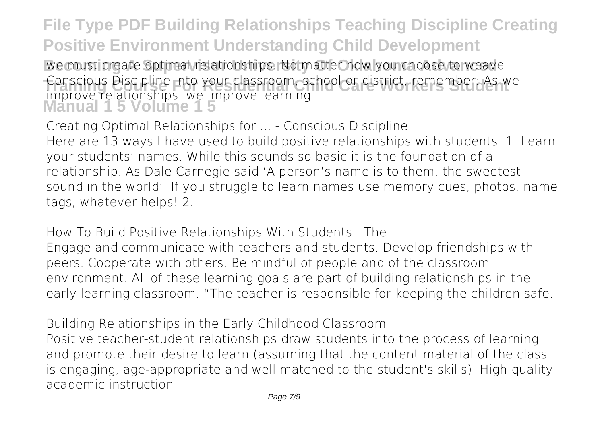**File Type PDF Building Relationships Teaching Discipline Creating Positive Environment Understanding Child Development** We must create optimal relationships. No matter how you choose to weave Conscious Discipline into your classroom, school or district, remember: As we<br>improve relationships we improve learning **Manual 1 5 Volume 1 5** improve relationships, we improve learning.

*Creating Optimal Relationships for ... - Conscious Discipline* Here are 13 ways I have used to build positive relationships with students. 1. Learn your students' names. While this sounds so basic it is the foundation of a relationship. As Dale Carnegie said 'A person's name is to them, the sweetest sound in the world'. If you struggle to learn names use memory cues, photos, name tags, whatever helps! 2.

*How To Build Positive Relationships With Students | The ...*

Engage and communicate with teachers and students. Develop friendships with peers. Cooperate with others. Be mindful of people and of the classroom environment. All of these learning goals are part of building relationships in the early learning classroom. "The teacher is responsible for keeping the children safe.

*Building Relationships in the Early Childhood Classroom* Positive teacher-student relationships draw students into the process of learning and promote their desire to learn (assuming that the content material of the class is engaging, age-appropriate and well matched to the student's skills). High quality academic instruction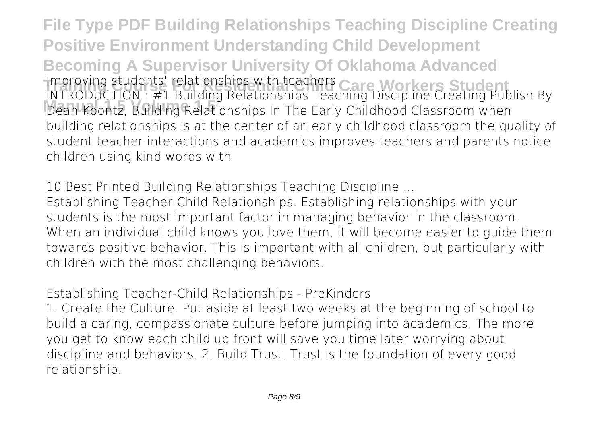**File Type PDF Building Relationships Teaching Discipline Creating Positive Environment Understanding Child Development Becoming A Supervisor University Of Oklahoma Advanced** *Training students' relationships with teachers Care Workers Student*<br>Intropy in Tion - #1 Building Relationships Teachers Neighborg Students **Manual 1 5 Volume 1 5** Dean Koontz, Building Relationships In The Early Childhood Classroom when INTRODUCTION : #1 Building Relationships Teaching Discipline Creating Publish By building relationships is at the center of an early childhood classroom the quality of student teacher interactions and academics improves teachers and parents notice children using kind words with

*10 Best Printed Building Relationships Teaching Discipline ...*

Establishing Teacher-Child Relationships. Establishing relationships with your students is the most important factor in managing behavior in the classroom. When an individual child knows you love them, it will become easier to guide them towards positive behavior. This is important with all children, but particularly with children with the most challenging behaviors.

*Establishing Teacher-Child Relationships - PreKinders*

1. Create the Culture. Put aside at least two weeks at the beginning of school to build a caring, compassionate culture before jumping into academics. The more you get to know each child up front will save you time later worrying about discipline and behaviors. 2. Build Trust. Trust is the foundation of every good relationship.